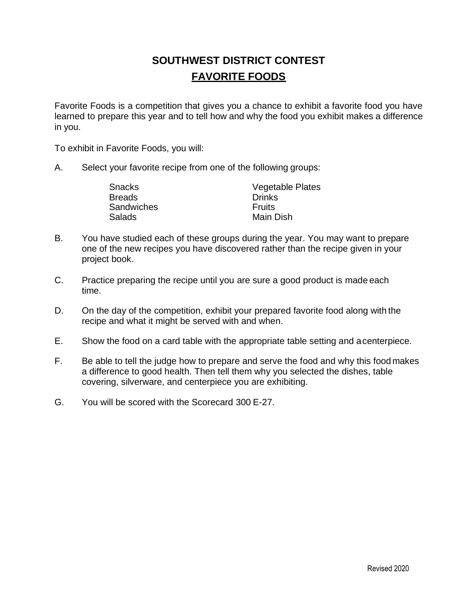# **SOUTHWEST DISTRICT CONTEST FAVORITE FOODS**

Favorite Foods is a competition that gives you a chance to exhibit a favorite food you have learned to prepare this year and to tell how and why the food you exhibit makes a difference in you.

To exhibit in Favorite Foods, you will:

A. Select your favorite recipe from one of the following groups:

| Snacks        | <b>Vegetable Plates</b> |
|---------------|-------------------------|
| <b>Breads</b> | <b>Drinks</b>           |
| Sandwiches    | <b>Fruits</b>           |
| Salads        | Main Dish               |

- B. You have studied each of these groups during the year. You may want to prepare one of the new recipes you have discovered rather than the recipe given in your project book.
- C. Practice preparing the recipe until you are sure a good product is made each time.
- D. On the day of the competition, exhibit your prepared favorite food along with the recipe and what it might be served with and when.
- E. Show the food on a card table with the appropriate table setting and acenterpiece.
- F. Be able to tell the judge how to prepare and serve the food and why this food makes a difference to good health. Then tell them why you selected the dishes, table covering, silverware, and centerpiece you are exhibiting.
- G. You will be scored with the Scorecard 300 E-27.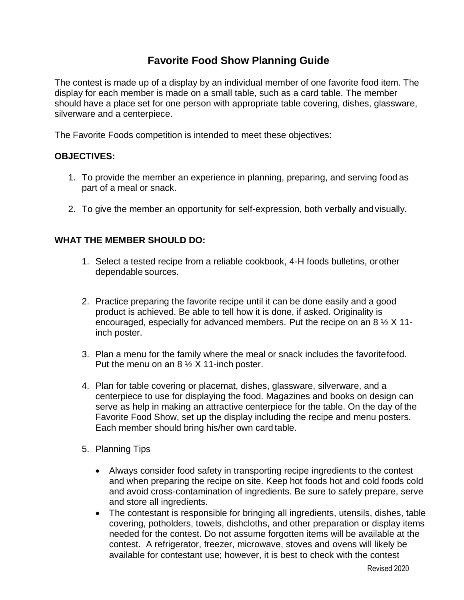## **Favorite Food Show Planning Guide**

The contest is made up of a display by an individual member of one favorite food item. The display for each member is made on a small table, such as a card table. The member should have a place set for one person with appropriate table covering, dishes, glassware, silverware and a centerpiece.

The Favorite Foods competition is intended to meet these objectives:

#### **OBJECTIVES:**

- 1. To provide the member an experience in planning, preparing, and serving food as part of a meal or snack.
- 2. To give the member an opportunity for self-expression, both verbally andvisually.

#### **WHAT THE MEMBER SHOULD DO:**

- 1. Select a tested recipe from a reliable cookbook, 4-H foods bulletins, orother dependable sources.
- 2. Practice preparing the favorite recipe until it can be done easily and a good product is achieved. Be able to tell how it is done, if asked. Originality is encouraged, especially for advanced members. Put the recipe on an 8 ½ X 11 inch poster.
- 3. Plan a menu for the family where the meal or snack includes the favoritefood. Put the menu on an  $8\frac{1}{2}$  X 11-inch poster.
- 4. Plan for table covering or placemat, dishes, glassware, silverware, and a centerpiece to use for displaying the food. Magazines and books on design can serve as help in making an attractive centerpiece for the table. On the day of the Favorite Food Show, set up the display including the recipe and menu posters. Each member should bring his/her own card table.
- 5. Planning Tips
	- Always consider food safety in transporting recipe ingredients to the contest and when preparing the recipe on site. Keep hot foods hot and cold foods cold and avoid cross-contamination of ingredients. Be sure to safely prepare, serve and store all ingredients.
	- The contestant is responsible for bringing all ingredients, utensils, dishes, table covering, potholders, towels, dishcloths, and other preparation or display items needed for the contest. Do not assume forgotten items will be available at the contest. A refrigerator, freezer, microwave, stoves and ovens will likely be available for contestant use; however, it is best to check with the contest